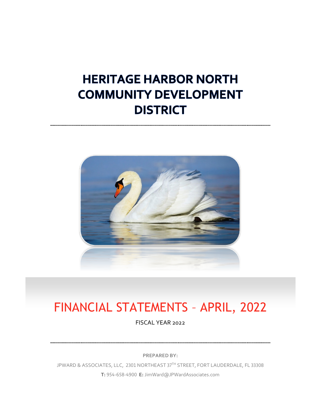# **HERITAGE HARBOR NORTH COMMUNITY DEVELOPMENT DISTRICT**



# FINANCIAL STATEMENTS – APRIL, 2022

FISCAL YEAR 2022

**PREPARED BY:**

JPWARD & ASSOCIATES, LLC, 2301 NORTHEAST 37TH STREET, FORT LAUDERDALE, FL 33308 **T:** 954-658-4900 **E:** JimWard@JPWardAssociates.com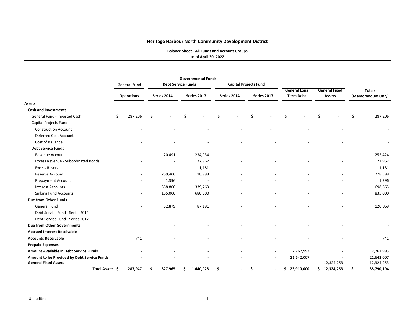**Balance Sheet ‐ All Funds and Account Groups**

**as of April 30, 2022**

|                                               | <b>Governmental Funds</b> |                     |             |                           |   |             |    |             |                              |             |     |                     |               |                      |    |                          |
|-----------------------------------------------|---------------------------|---------------------|-------------|---------------------------|---|-------------|----|-------------|------------------------------|-------------|-----|---------------------|---------------|----------------------|----|--------------------------|
|                                               |                           | <b>General Fund</b> |             | <b>Debt Service Funds</b> |   |             |    |             | <b>Capital Projects Fund</b> |             |     |                     |               |                      |    |                          |
|                                               |                           |                     |             |                           |   |             |    |             |                              |             |     | <b>General Long</b> |               | <b>General Fixed</b> |    | <b>Totals</b>            |
|                                               |                           | <b>Operations</b>   | Series 2014 |                           |   | Series 2017 |    | Series 2014 |                              | Series 2017 |     | <b>Term Debt</b>    | <b>Assets</b> |                      |    | (Memorandum Only)        |
| <b>Assets</b>                                 |                           |                     |             |                           |   |             |    |             |                              |             |     |                     |               |                      |    |                          |
| <b>Cash and Investments</b>                   |                           |                     |             |                           |   |             |    |             |                              |             |     |                     |               |                      |    |                          |
| General Fund - Invested Cash                  | \$                        | 287,206             | \$          |                           | Ś |             | Ś. |             | Ś                            |             | \$  |                     | Ś             |                      | Ś  | 287,206                  |
| Capital Projects Fund                         |                           |                     |             |                           |   |             |    |             |                              |             |     |                     |               |                      |    |                          |
| <b>Construction Account</b>                   |                           |                     |             |                           |   |             |    |             |                              |             |     |                     |               |                      |    |                          |
| Deferred Cost Account                         |                           |                     |             |                           |   |             |    |             |                              |             |     |                     |               |                      |    |                          |
| Cost of Issuance                              |                           |                     |             |                           |   |             |    |             |                              |             |     |                     |               |                      |    |                          |
| Debt Service Funds                            |                           |                     |             |                           |   |             |    |             |                              |             |     |                     |               |                      |    |                          |
| Revenue Account                               |                           |                     |             | 20,491                    |   | 234,934     |    |             |                              |             |     |                     |               |                      |    | 255,424                  |
| Excess Revenue - Subordinated Bonds           |                           |                     |             |                           |   | 77,962      |    |             |                              |             |     |                     |               |                      |    | 77,962                   |
| <b>Excess Reserve</b>                         |                           |                     |             |                           |   | 1,181       |    |             |                              |             |     |                     |               |                      |    | 1,181                    |
| <b>Reserve Account</b>                        |                           |                     |             | 259,400                   |   | 18,998      |    |             |                              |             |     |                     |               |                      |    | 278,398                  |
| <b>Prepayment Account</b>                     |                           |                     |             | 1,396                     |   |             |    |             |                              |             |     |                     |               |                      |    | 1,396                    |
| <b>Interest Accounts</b>                      |                           |                     |             | 358,800                   |   | 339,763     |    |             |                              |             |     |                     |               |                      |    | 698,563                  |
| <b>Sinking Fund Accounts</b>                  |                           |                     |             | 155,000                   |   | 680,000     |    |             |                              |             |     |                     |               |                      |    | 835,000                  |
| Due from Other Funds                          |                           |                     |             |                           |   |             |    |             |                              |             |     |                     |               |                      |    |                          |
| General Fund                                  |                           |                     |             | 32,879                    |   | 87,191      |    |             |                              |             |     |                     |               |                      |    | 120,069                  |
| Debt Service Fund - Series 2014               |                           |                     |             |                           |   |             |    |             |                              |             |     |                     |               |                      |    | $\overline{\phantom{a}}$ |
| Debt Service Fund - Series 2017               |                           |                     |             |                           |   |             |    |             |                              |             |     |                     |               |                      |    |                          |
| <b>Due from Other Governments</b>             |                           |                     |             |                           |   |             |    |             |                              |             |     |                     |               |                      |    |                          |
| <b>Accrued Interest Receivable</b>            |                           |                     |             |                           |   |             |    |             |                              |             |     |                     |               |                      |    |                          |
| <b>Accounts Receivable</b>                    |                           | 741                 |             |                           |   |             |    |             |                              |             |     |                     |               |                      |    | 741                      |
| <b>Prepaid Expenses</b>                       |                           |                     |             |                           |   |             |    |             |                              |             |     |                     |               |                      |    |                          |
| <b>Amount Available in Debt Service Funds</b> |                           |                     |             |                           |   |             |    |             |                              |             |     | 2,267,993           |               |                      |    | 2,267,993                |
| Amount to be Provided by Debt Service Funds   |                           |                     |             |                           |   |             |    |             |                              |             |     | 21,642,007          |               |                      |    | 21,642,007               |
| <b>General Fixed Assets</b>                   |                           |                     |             |                           |   |             |    |             |                              |             |     |                     |               | 12,324,253           |    | 12,324,253               |
| Total Assets \$                               |                           | 287,947             | \$          | 827,965                   | Ś | 1,440,028   | \$ |             | \$                           | $\sim$      | \$. | 23,910,000          | \$12,324,253  |                      | \$ | 38,790,194               |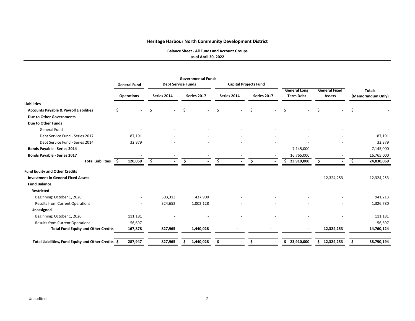**Balance Sheet ‐ All Funds and Account Groups**

**as of April 30, 2022**

|                                                     | <b>General Fund</b> |             |         | <b>Debt Service Funds</b> |             | <b>Capital Projects Fund</b> |             |                                         |                                       |   |                                    |
|-----------------------------------------------------|---------------------|-------------|---------|---------------------------|-------------|------------------------------|-------------|-----------------------------------------|---------------------------------------|---|------------------------------------|
|                                                     | <b>Operations</b>   | Series 2014 |         | Series 2017               | Series 2014 |                              | Series 2017 | <b>General Long</b><br><b>Term Debt</b> | <b>General Fixed</b><br><b>Assets</b> |   | <b>Totals</b><br>(Memorandum Only) |
| <b>Liabilities</b>                                  |                     |             |         |                           |             |                              |             |                                         |                                       |   |                                    |
| <b>Accounts Payable &amp; Payroll Liabilities</b>   | \$                  | Ŝ.          |         | \$                        | \$          | \$                           |             | Ś.                                      | \$                                    | Ŝ |                                    |
| Due to Other Governments                            |                     |             |         |                           |             |                              |             |                                         |                                       |   |                                    |
| <b>Due to Other Funds</b>                           |                     |             |         |                           |             |                              |             |                                         |                                       |   |                                    |
| <b>General Fund</b>                                 |                     |             |         |                           |             |                              |             |                                         |                                       |   |                                    |
| Debt Service Fund - Series 2017                     | 87,191              |             |         |                           |             |                              |             |                                         |                                       |   | 87,191                             |
| Debt Service Fund - Series 2014                     | 32,879              |             |         |                           |             |                              |             |                                         |                                       |   | 32,879                             |
| <b>Bonds Payable - Series 2014</b>                  |                     |             |         |                           |             |                              |             | 7,145,000                               |                                       |   | 7,145,000                          |
| Bonds Payable - Series 2017                         |                     |             |         |                           |             |                              |             | 16,765,000                              |                                       |   | 16,765,000                         |
| <b>Total Liabilities</b>                            | 120,069<br>-S       | \$.         |         | Ŝ.                        | Ŝ.          | \$.                          |             | 23,910,000<br>\$.                       | S                                     |   | 24,030,069                         |
| <b>Fund Equity and Other Credits</b>                |                     |             |         |                           |             |                              |             |                                         |                                       |   |                                    |
| <b>Investment in General Fixed Assets</b>           |                     |             |         |                           |             |                              |             |                                         | 12,324,253                            |   | 12,324,253                         |
| <b>Fund Balance</b>                                 |                     |             |         |                           |             |                              |             |                                         |                                       |   |                                    |
| <b>Restricted</b>                                   |                     |             |         |                           |             |                              |             |                                         |                                       |   |                                    |
| Beginning: October 1, 2020                          |                     |             | 503,313 | 437,900                   |             |                              |             |                                         |                                       |   | 941,213                            |
| <b>Results from Current Operations</b>              |                     |             | 324,652 | 1,002,128                 |             |                              |             |                                         |                                       |   | 1,326,780                          |
| Unassigned                                          |                     |             |         |                           |             |                              |             |                                         |                                       |   |                                    |
| Beginning: October 1, 2020                          | 111,181             |             |         |                           |             |                              |             |                                         |                                       |   | 111,181                            |
| <b>Results from Current Operations</b>              | 56,697              |             |         |                           |             |                              |             |                                         |                                       |   | 56,697                             |
| <b>Total Fund Equity and Other Credits</b>          | 167,878             |             | 827,965 | 1,440,028                 |             |                              |             |                                         | 12,324,253                            |   | 14,760,124                         |
| Total Liabilities, Fund Equity and Other Credits \$ | 287,947             |             | 827,965 | 1,440,028                 | \$          | \$                           |             | 23,910,000<br>\$                        | 12,324,253<br>Ś.                      |   | 38,790,194                         |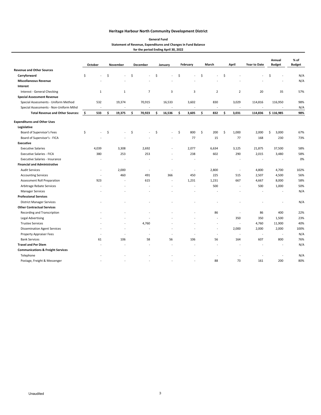#### **Statement of Revenue, Expenditures and Changes in Fund Balance for the period Ending April 30, 2022 General Fund**

|                                              | October                  | <b>November</b> |                          | December |                          | January                  | February    | March                    |                     | April                    | Year to Date | Annual<br><b>Budget</b>  | % of<br><b>Budget</b> |
|----------------------------------------------|--------------------------|-----------------|--------------------------|----------|--------------------------|--------------------------|-------------|--------------------------|---------------------|--------------------------|--------------|--------------------------|-----------------------|
| <b>Revenue and Other Sources</b>             |                          |                 |                          |          |                          |                          |             |                          |                     |                          |              |                          |                       |
| Carryforward                                 | \$                       | \$              | ÷,                       | \$       |                          | \$                       | \$          | \$                       | $\ddot{\mathsf{S}}$ |                          |              | \$                       | N/A                   |
| <b>Miscellaneous Revenue</b>                 |                          |                 |                          |          |                          |                          |             |                          |                     |                          |              |                          | N/A                   |
| Interest                                     |                          |                 |                          |          |                          |                          |             |                          |                     |                          |              |                          |                       |
| Interest - General Checking                  | 1                        |                 | 1                        |          | $\overline{7}$           | 3                        | 3           | $\overline{2}$           |                     | $\overline{2}$           | 20           | 35                       | 57%                   |
| <b>Special Assessment Revenue</b>            |                          |                 |                          |          |                          |                          |             |                          |                     |                          |              |                          |                       |
| Special Assessments - Uniform Method         | 532                      |                 | 19,374                   |          | 70,915                   | 16,533                   | 3,602       | 830                      |                     | 3,029                    | 114,816      | 116,950                  | 98%                   |
| Special Assessments - Non-Uniform Mthd       |                          |                 |                          |          |                          |                          |             | ÷,                       |                     | $\overline{\phantom{a}}$ |              |                          | N/A                   |
| <b>Total Revenue and Other Sources:</b>      | - \$<br>533              | \$              | 19,375                   | \$       | 70,923                   | \$<br>16,536             | \$<br>3,605 | \$<br>832                | \$                  | 3,031                    | 114,836      | \$116,985                | 98%                   |
| <b>Expenditures and Other Uses</b>           |                          |                 |                          |          |                          |                          |             |                          |                     |                          |              |                          |                       |
| Legislative                                  |                          |                 |                          |          |                          |                          |             |                          |                     |                          |              |                          |                       |
| Board of Supervisor's Fees                   | \$<br>$\sim$             | \$              | ÷,                       | \$       | ÷,                       | \$<br>÷                  | \$<br>800   | \$<br>200                | Ś                   | 1,000                    | 2,000        | \$<br>3,000              | 67%                   |
| Board of Supervisor's - FICA                 |                          |                 |                          |          |                          |                          | 77          | 15                       |                     | 77                       | 168          | 230                      | 73%                   |
| <b>Executive</b>                             |                          |                 |                          |          |                          |                          |             |                          |                     |                          |              |                          |                       |
| <b>Executive Salaries</b>                    | 4,039                    |                 | 3,308                    |          | 2,692                    |                          | 2,077       | 6,634                    |                     | 3,125                    | 21,875       | 37,500                   | 58%                   |
| <b>Executive Salaries - FICA</b>             | 380                      |                 | 253                      |          | 253                      | $\overline{\phantom{a}}$ | 238         | 602                      |                     | 290                      | 2,015        | 3,480                    | 58%                   |
| Executive Salaries - Insurance               | $\overline{\phantom{a}}$ |                 | $\overline{\phantom{a}}$ |          |                          |                          |             | $\overline{\phantom{a}}$ |                     | ä,                       | ٠            | $\overline{\phantom{a}}$ | 0%                    |
| <b>Financial and Administrative</b>          |                          |                 |                          |          |                          |                          |             |                          |                     |                          |              |                          |                       |
| <b>Audit Services</b>                        | $\overline{\phantom{a}}$ |                 | 2,000                    |          | $\overline{\phantom{a}}$ | ÷,                       | $\sim$      | 2,800                    |                     | $\overline{a}$           | 4,800        | 4,700                    | 102%                  |
| <b>Accounting Services</b>                   | $\sim$                   |                 | 460                      |          | 491                      | 366                      | 450         | 225                      |                     | 515                      | 2,507        | 4,500                    | 56%                   |
| Assessment Roll Preparation                  | 923                      |                 | $\overline{\phantom{a}}$ |          | 615                      | $\overline{\phantom{a}}$ | 1,231       | 1,231                    |                     | 667                      | 4,667        | 8,000                    | 58%                   |
| Arbitrage Rebate Services                    |                          |                 |                          |          |                          |                          |             | 500                      |                     | ÷,                       | 500          | 1,000                    | 50%                   |
| <b>Manager Services</b>                      |                          |                 |                          |          |                          |                          |             |                          |                     |                          |              |                          | N/A                   |
| <b>Professional Services</b>                 |                          |                 |                          |          |                          |                          |             |                          |                     |                          |              |                          |                       |
| <b>District Manager Services</b>             |                          |                 |                          |          |                          |                          |             |                          |                     |                          |              |                          | N/A                   |
| <b>Other Contractual Services</b>            |                          |                 |                          |          |                          |                          |             |                          |                     |                          |              |                          |                       |
| Recording and Transcription                  |                          |                 |                          |          |                          |                          |             | 86                       |                     | $\ddot{\phantom{1}}$     | 86           | 400                      | 22%                   |
| <b>Legal Advertising</b>                     |                          |                 |                          |          |                          |                          |             | $\sim$                   |                     | 350                      | 350          | 1,500                    | 23%                   |
| <b>Trustee Services</b>                      |                          |                 |                          |          | 4,760                    |                          |             | ÷,                       |                     | ÷,                       | 4,760        | 11,900                   | 40%                   |
| <b>Dissemination Agent Services</b>          |                          |                 | ÷                        |          |                          |                          |             | $\overline{\phantom{a}}$ |                     | 2,000                    | 2,000        | 2,000                    | 100%                  |
| <b>Property Appraiser Fees</b>               |                          |                 |                          |          | ä,                       |                          |             | $\sim$                   |                     | $\ddot{\phantom{1}}$     | $\sim$       | $\sim$                   | N/A                   |
| <b>Bank Services</b>                         | 61                       |                 | 106                      |          | 58                       | 56                       | 106         | 56                       |                     | 164                      | 607          | 800                      | 76%                   |
| <b>Travel and Per Diem</b>                   |                          |                 |                          |          |                          |                          |             |                          |                     |                          |              |                          | N/A                   |
| <b>Communications &amp; Freight Services</b> |                          |                 |                          |          |                          |                          |             |                          |                     |                          |              |                          |                       |
| Telephone                                    |                          |                 |                          |          |                          |                          |             |                          |                     |                          |              |                          | N/A                   |
| Postage, Freight & Messenger                 |                          |                 |                          |          |                          |                          |             | 88                       |                     | 73                       | 161          | 200                      | 80%                   |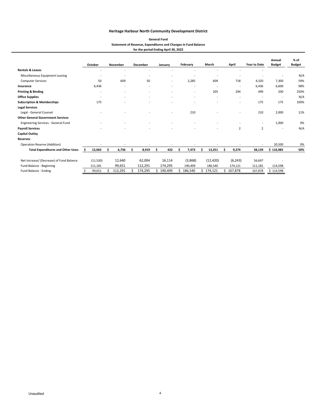#### **Statement of Revenue, Expenditures and Changes in Fund Balance for the period Ending April 30, 2022 General Fund**

|                                           |   | October                  | <b>November</b>          | <b>December</b>          | January                  | February                 | March                    | April                    | <b>Year to Date</b>      | Annual<br><b>Budget</b>  | $%$ of<br><b>Budget</b> |
|-------------------------------------------|---|--------------------------|--------------------------|--------------------------|--------------------------|--------------------------|--------------------------|--------------------------|--------------------------|--------------------------|-------------------------|
| <b>Rentals &amp; Leases</b>               |   |                          | ٠                        |                          |                          |                          |                          |                          |                          |                          |                         |
| Miscellaneous Equipment Leasing           |   |                          | ٠                        | $\overline{\phantom{a}}$ | ٠                        |                          |                          |                          |                          |                          | N/A                     |
| <b>Computer Services</b>                  |   | 50                       | 609                      | 50                       | $\overline{\phantom{a}}$ | 2,285                    | 609                      | 718                      | 4,320                    | 7,300                    | 59%                     |
| Insurance                                 |   | 6,436                    | $\overline{\phantom{a}}$ | $\sim$                   | $\sim$                   |                          | ٠                        | ٠                        | 6.436                    | 6,600                    | 98%                     |
| <b>Printing &amp; Binding</b>             |   | ٠                        | $\overline{\phantom{a}}$ | $\overline{\phantom{a}}$ | ٠                        | $\overline{\phantom{a}}$ | 205                      | 294                      | 499                      | 200                      | 250%                    |
| <b>Office Supplies</b>                    |   | $\overline{\phantom{a}}$ | $\overline{\phantom{a}}$ | $\overline{\phantom{a}}$ | $\overline{\phantom{a}}$ | $\overline{\phantom{a}}$ | $\overline{\phantom{a}}$ | ٠                        | $\overline{\phantom{a}}$ | $\overline{\phantom{a}}$ | N/A                     |
| <b>Subscription &amp; Memberships</b>     |   | 175                      |                          |                          |                          |                          |                          | $\overline{\phantom{a}}$ | 175                      | 175                      | 100%                    |
| <b>Legal Services</b>                     |   |                          |                          |                          |                          |                          |                          |                          |                          |                          |                         |
| Legal - General Counsel                   |   |                          |                          |                          | ۰                        | 210                      |                          |                          | 210                      | 2,000                    | 11%                     |
| <b>Other General Government Services</b>  |   |                          |                          |                          |                          |                          |                          |                          |                          |                          |                         |
| Engineering Services - General Fund       |   |                          |                          |                          |                          |                          |                          |                          | $\overline{\phantom{a}}$ | 1,000                    | 0%                      |
| <b>Payroll Services</b>                   |   |                          |                          |                          |                          |                          |                          | 2                        | $\overline{2}$           |                          | N/A                     |
| <b>Capital Outlay</b>                     |   |                          |                          |                          |                          |                          |                          |                          |                          |                          |                         |
| <b>Reserves</b>                           |   |                          |                          |                          |                          |                          |                          |                          |                          |                          |                         |
| Operation Reserve (Addition)              |   |                          |                          |                          |                          |                          |                          |                          |                          | 20,500                   | 0%                      |
| <b>Total Expenditures and Other Uses:</b> | Ŝ | 12,063                   | 6,736                    | 8,919                    | 422                      | 7,473                    | 13,251                   | 9,274                    | 58,139                   | \$116,985                | 50%                     |
| Net Increase/ (Decrease) of Fund Balance  |   | (11,530)                 | 12,640                   | 62,004                   | 16,114                   | (3,868)                  | (12, 420)                | (6, 243)                 | 56,697                   |                          |                         |
| Fund Balance - Beginning                  |   | 111,181                  | 99,651                   | 112,291                  | 174,295                  | 190,409                  | 186,540                  | 174,121                  | 111,181                  | 114,598                  |                         |
| Fund Balance - Ending                     |   | 99,651                   | 112,291                  | 174,295                  | 190,409                  | 186,540                  | 174,121                  | 167,878                  | 167,878                  | \$114,598                |                         |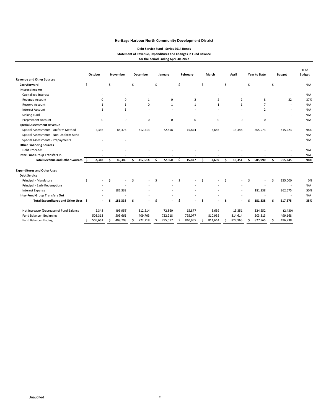#### **Debt Service Fund ‐ Series 2014 Bonds Statement of Revenue, Expenditures and Changes in Fund Balance for the period Ending April 30, 2022**

|                                          |    | October      |    | November     |    | <b>December</b> |    | January  |    | February       |    | March        |    | April        |    | <b>Year to Date</b> |    | <b>Budget</b>            | $%$ of<br><b>Budget</b> |
|------------------------------------------|----|--------------|----|--------------|----|-----------------|----|----------|----|----------------|----|--------------|----|--------------|----|---------------------|----|--------------------------|-------------------------|
| <b>Revenue and Other Sources</b>         |    |              |    |              |    |                 |    |          |    |                |    |              |    |              |    |                     |    |                          |                         |
| Carryforward                             | Ŝ  |              | Ŝ. |              | Ś  |                 | Ś  |          | Ś  |                | Ś  |              | Ś  |              | Ś  |                     | Ś  |                          | N/A                     |
| <b>Interest Income</b>                   |    |              |    |              |    |                 |    |          |    |                |    |              |    |              |    |                     |    |                          |                         |
| Capitalized Interest                     |    |              |    |              |    |                 |    |          |    |                |    |              |    |              |    |                     |    |                          | N/A                     |
| Revenue Account                          |    | $\Omega$     |    | $\Omega$     |    | $\mathbf{1}$    |    | $\Omega$ |    | $\overline{2}$ |    | 2            |    | 2            |    | 8                   |    | 22                       | 37%                     |
| Reserve Account                          |    | $\mathbf{1}$ |    | $\mathbf{1}$ |    | 0               |    | 1        |    | $\mathbf{1}$   |    | $\mathbf{1}$ |    | $\mathbf{1}$ |    | $\overline{7}$      |    | $\overline{\phantom{a}}$ | N/A                     |
| <b>Interest Account</b>                  |    |              |    | $\mathbf{1}$ |    |                 |    |          |    |                |    |              |    |              |    | $\overline{2}$      |    |                          | N/A                     |
| <b>Sinking Fund</b>                      |    |              |    |              |    |                 |    |          |    |                |    |              |    |              |    |                     |    |                          | N/A                     |
| Prepayment Account                       |    | 0            |    | 0            |    | 0               |    | 0        |    | 0              |    | 0            |    | 0            |    | 0                   |    |                          | N/A                     |
| <b>Special Assessment Revenue</b>        |    |              |    |              |    |                 |    |          |    |                |    |              |    |              |    |                     |    |                          |                         |
| Special Assessments - Uniform Method     |    | 2,346        |    | 85,378       |    | 312,513         |    | 72,858   |    | 15,874         |    | 3,656        |    | 13,348       |    | 505,973             |    | 515,223                  | 98%                     |
| Special Assessments - Non-Uniform Mthd   |    |              |    |              |    |                 |    |          |    |                |    |              |    |              |    |                     |    |                          | N/A                     |
| Special Assessments - Prepayments        |    |              |    |              |    |                 |    |          |    |                |    |              |    |              |    |                     |    |                          | N/A                     |
| <b>Other Financing Sources</b>           |    |              |    |              |    |                 |    |          |    |                |    |              |    |              |    |                     |    |                          |                         |
| <b>Debt Proceeds</b>                     |    |              |    |              |    |                 |    |          |    |                |    |              |    |              |    |                     |    |                          | N/A                     |
| <b>Inter-Fund Group Transfers In</b>     |    |              |    |              |    |                 |    |          |    |                |    |              |    |              |    |                     |    |                          | N/A                     |
| Total Revenue and Other Sources: \$      |    | 2,348        | Ŝ. | 85,380       | Ś. | 312,514         | Ŝ  | 72,860   | Ś. | 15,877         | Ś. | 3,659        | Ś. | 13,351       | Ś. | 505,990             | Ś. | 515,245                  | 98%                     |
| <b>Expenditures and Other Uses</b>       |    |              |    |              |    |                 |    |          |    |                |    |              |    |              |    |                     |    |                          |                         |
| <b>Debt Service</b>                      |    |              |    |              |    |                 |    |          |    |                |    |              |    |              |    |                     |    |                          |                         |
| Principal - Mandatory                    | Ś. |              |    |              | Ŝ. |                 |    |          | \$ |                | \$ |              | Ś  |              | \$ |                     | Ś, | 155,000                  | 0%                      |
| Principal - Early Redemptions            |    |              |    |              |    |                 |    |          |    |                |    |              |    |              |    |                     |    |                          | N/A                     |
| Interest Expense                         |    |              |    | 181,338      |    |                 |    |          |    |                |    |              |    |              |    | 181,338             |    | 362,675                  | 50%                     |
| <b>Inter-Fund Group Transfers Out</b>    |    |              |    |              |    |                 |    |          |    |                |    |              |    |              |    |                     |    |                          | N/A                     |
| Total Expenditures and Other Uses: \$    |    |              | Ś  | 181,338      | \$ |                 | \$ | ÷,       | \$ | $\sim$         | \$ | ä,           | \$ |              | Ś  | 181,338             |    | 517,675                  | 35%                     |
| Net Increase/ (Decrease) of Fund Balance |    | 2,348        |    | (95, 958)    |    | 312,514         |    | 72,860   |    | 15,877         |    | 3,659        |    | 13,351       |    | 324,652             |    | (2,430)                  |                         |
| Fund Balance - Beginning                 |    | 503,313      |    | 505,661      |    | 409,703         |    | 722,218  |    | 795,077        |    | 810,955      |    | 814,614      |    | 503,313             |    | 499,168                  |                         |
| Fund Balance - Ending                    | \$ | 505,661      | \$ | 409,703      | \$ | 722,218         | \$ | 795,077  | \$ | 810,955        | Ś. | 814,614      | \$ | 827,965      | \$ | 827,965             | Ś. | 496,738                  |                         |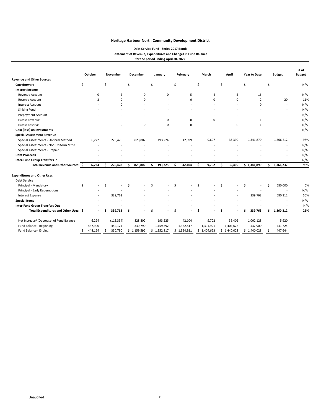#### **Debt Service Fund ‐ Series 2017 Bonds Statement of Revenue, Expenditures and Changes in Fund Balance for the period Ending April 30, 2022**

|                                          |    | October     |    | November       |    | <b>December</b> |    | January                  |    | February    |     | March          |    | April       |    | <b>Year to Date</b> |     | <b>Budget</b> | % of<br><b>Budget</b> |
|------------------------------------------|----|-------------|----|----------------|----|-----------------|----|--------------------------|----|-------------|-----|----------------|----|-------------|----|---------------------|-----|---------------|-----------------------|
| <b>Revenue and Other Sources</b>         |    |             |    |                |    |                 |    |                          |    |             |     |                |    |             |    |                     |     |               |                       |
| Carryforward                             | \$ |             | \$ |                | Ś  |                 | Ś  |                          | \$ |             | \$. |                | Ś  |             | \$ |                     | \$  |               | N/A                   |
| <b>Interest Income</b>                   |    |             |    |                |    |                 |    |                          |    |             |     |                |    |             |    |                     |     |               |                       |
| <b>Revenue Account</b>                   |    | $\mathbf 0$ |    | $\overline{2}$ |    | $\mathbf 0$     |    | $\mathbf 0$              |    | 5           |     | 4              |    | 5           |    | 16                  |     |               | N/A                   |
| Reserve Account                          |    | 2           |    | 0              |    | $\Omega$        |    |                          |    | 0           |     | 0              |    | 0           |    | 2                   |     | 20            | 11%                   |
| <b>Interest Account</b>                  |    |             |    | $\Omega$       |    |                 |    |                          |    |             |     |                |    |             |    | 0                   |     | $\sim$        | N/A                   |
| Sinking Fund                             |    |             |    |                |    |                 |    |                          |    |             |     |                |    |             |    |                     |     |               | N/A                   |
| Prepayment Account                       |    |             |    |                |    |                 |    |                          |    |             |     |                |    |             |    |                     |     |               | N/A                   |
| <b>Excess Revenue</b>                    |    |             |    |                |    |                 |    | 0                        |    | 0           |     | 0              |    |             |    | $\mathbf{1}$        |     |               | N/A                   |
| <b>Excess Reserve</b>                    |    |             |    | $\Omega$       |    | $\Omega$        |    | $\Omega$                 |    | $\Omega$    |     |                |    | $\mathbf 0$ |    | 1                   |     |               | N/A                   |
| Gain (loss) on Investments               |    |             |    |                |    |                 |    |                          |    |             |     |                |    |             |    |                     |     |               | N/A                   |
| <b>Special Assessment Revenue</b>        |    |             |    |                |    |                 |    |                          |    |             |     |                |    |             |    |                     |     |               |                       |
| Special Assessments - Uniform Method     |    | 6,222       |    | 226,426        |    | 828,802         |    | 193,224                  |    | 42,099      |     | 9,697          |    | 35,399      |    | 1,341,870           |     | 1,366,212     | 98%                   |
| Special Assessments - Non-Uniform Mthd   |    |             |    |                |    |                 |    |                          |    |             |     |                |    |             |    |                     |     |               | N/A                   |
| Special Assessments - Prepaid            |    |             |    |                |    |                 |    |                          |    |             |     |                |    |             |    |                     |     |               | N/A                   |
| <b>Debt Proceeds</b>                     |    |             |    |                |    |                 |    |                          |    |             |     |                |    |             |    |                     |     |               | N/A                   |
| <b>Inter-Fund Group Transfers In</b>     |    |             |    |                |    |                 |    |                          |    |             |     |                |    |             |    |                     |     |               | N/A                   |
| Total Revenue and Other Sources: \$      |    | 6,224       | Ś  | 226,428        | Ś  | 828,802         | Ś. | 193,225                  | Ś  | 42,104      | Ś.  | 9,702          | S  | 35,405      |    | \$1,341,890         | \$. | 1,366,232     | 98%                   |
| <b>Expenditures and Other Uses</b>       |    |             |    |                |    |                 |    |                          |    |             |     |                |    |             |    |                     |     |               |                       |
| <b>Debt Service</b>                      |    |             |    |                |    |                 |    |                          |    |             |     |                |    |             |    |                     |     |               |                       |
| Principal - Mandatory                    | \$ |             | Ŝ. |                | \$ |                 | Ś  |                          | Ś, |             |     |                | Ś  |             | Ś  |                     | Ś   | 680,000       | 0%                    |
| Principal - Early Redemptions            |    |             |    |                |    |                 |    |                          |    |             |     |                |    |             |    |                     |     |               | N/A                   |
| <b>Interest Expense</b>                  |    |             |    | 339,763        |    |                 |    |                          |    |             |     |                |    |             |    | 339,763             |     | 680,312       | 50%                   |
| <b>Special Items</b>                     |    |             |    |                |    |                 |    |                          |    |             |     |                |    |             |    |                     |     |               | N/A                   |
| Inter-Fund Group Transfers Out           |    |             |    |                |    | ٠               |    | $\overline{\phantom{a}}$ |    |             |     | ٠              |    |             |    |                     |     |               | N/A                   |
| Total Expenditures and Other Uses: \$    |    |             | Ŝ  | 339.763        | Ś  | $\blacksquare$  | Ŝ. | ٠                        | \$ |             | \$  | $\blacksquare$ | Ŝ. | ٠           | Ŝ. | 339,763             | Ś.  | 1,360,312     | 25%                   |
| Net Increase/ (Decrease) of Fund Balance |    | 6,224       |    | (113, 334)     |    | 828,802         |    | 193,225                  |    | 42,104      |     | 9,702          |    | 35,405      |    | 1,002,128           |     | 5,920         |                       |
| Fund Balance - Beginning                 |    | 437,900     |    | 444,124        |    | 330,790         |    | 1,159,592                |    | 1,352,817   |     | 1,394,921      |    | 1,404,623   |    | 437,900             |     | 441,724       |                       |
| Fund Balance - Ending                    | Ŝ. | 444,124     | Ś. | 330,790        |    | \$1,159,592     |    | \$1,352,817              |    | \$1,394,921 |     | \$1,404,623    |    | \$1,440,028 |    | \$1,440,028         | Ś   | 447,644       |                       |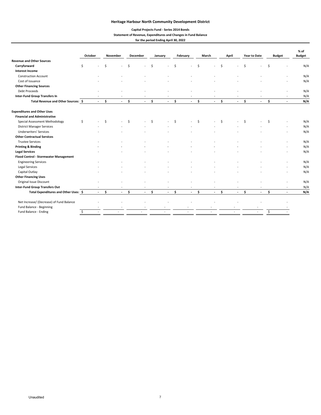## **Capital Projects Fund ‐ Series 2014 Bonds**

#### **Statement of Revenue, Expenditures and Changes in Fund Balance**

#### **for the period Ending April 30, 2022**

|                                          | October |                          |    | November |      | December                 |    | January                  |    | February |    | March  |     | April          |    | <b>Year to Date</b> |    | <b>Budget</b> | $%$ of<br><b>Budget</b> |
|------------------------------------------|---------|--------------------------|----|----------|------|--------------------------|----|--------------------------|----|----------|----|--------|-----|----------------|----|---------------------|----|---------------|-------------------------|
| <b>Revenue and Other Sources</b>         |         |                          |    |          |      |                          |    |                          |    |          |    |        |     |                |    |                     |    |               |                         |
| Carryforward                             | Ś       |                          | Ŝ. |          | \$   |                          | Ŝ. |                          | Ŝ. |          | \$ |        | Ś.  |                | Ś. |                     | Ś. |               | N/A                     |
| <b>Interest Income</b>                   |         |                          |    |          |      |                          |    |                          |    |          |    |        |     |                |    |                     |    |               |                         |
| <b>Construction Account</b>              |         |                          |    |          |      |                          |    |                          |    |          |    |        |     |                |    |                     |    |               | N/A                     |
| Cost of Issuance                         |         |                          |    |          |      |                          |    |                          |    |          |    |        |     |                |    |                     |    |               | N/A                     |
| <b>Other Financing Sources</b>           |         |                          |    |          |      |                          |    |                          |    |          |    |        |     |                |    |                     |    |               |                         |
| Debt Proceeds                            |         |                          |    |          |      |                          |    |                          |    |          |    |        |     |                |    |                     |    |               | N/A                     |
| <b>Inter-Fund Group Transfers In</b>     |         |                          |    |          |      |                          |    |                          |    |          |    |        |     |                |    |                     |    |               | N/A                     |
| Total Revenue and Other Sources: \$      |         | $\blacksquare$           | \$ | $\sim$   | \$   | $\blacksquare$           | \$ | $\blacksquare$           | \$ | $\sim$   | \$ | $\sim$ | \$  | $\blacksquare$ | \$ | $\blacksquare$      | \$ |               | N/A                     |
| <b>Expenditures and Other Uses</b>       |         |                          |    |          |      |                          |    |                          |    |          |    |        |     |                |    |                     |    |               |                         |
| <b>Financial and Administrative</b>      |         |                          |    |          |      |                          |    |                          |    |          |    |        |     |                |    |                     |    |               |                         |
| Special Assessment Methodology           | \$      | $\overline{\phantom{a}}$ | \$ |          | Ŝ.   | $\overline{\phantom{a}}$ | Ŝ. | $\overline{\phantom{a}}$ | Ŝ. |          | Ś. | $\sim$ | \$. | ÷              | Ŝ. |                     | \$ |               | N/A                     |
| <b>District Manager Services</b>         |         |                          |    |          |      |                          |    |                          |    |          |    |        |     |                |    |                     |    |               | N/A                     |
| <b>Underwriters' Services</b>            |         |                          |    |          |      |                          |    |                          |    |          |    |        |     |                |    |                     |    |               | N/A                     |
| <b>Other Contractual Services</b>        |         |                          |    |          |      |                          |    |                          |    |          |    |        |     |                |    |                     |    |               |                         |
| <b>Trustee Services</b>                  |         |                          |    |          |      |                          |    |                          |    |          |    |        |     |                |    |                     |    |               | N/A                     |
| <b>Printing &amp; Binding</b>            |         |                          |    |          |      |                          |    |                          |    |          |    |        |     |                |    |                     |    |               | N/A                     |
| <b>Legal Services</b>                    |         |                          |    |          |      |                          |    |                          |    |          |    |        |     |                |    |                     |    |               | N/A                     |
| Flood Control - Stormwater Management    |         |                          |    |          |      |                          |    |                          |    |          |    |        |     |                |    |                     |    |               |                         |
| <b>Engineering Services</b>              |         |                          |    |          |      |                          |    |                          |    |          |    |        |     |                |    |                     |    |               | N/A                     |
| Legal Services                           |         |                          |    |          |      |                          |    |                          |    |          |    |        |     |                |    |                     |    |               | N/A                     |
| Capital Outlay                           |         |                          |    |          |      |                          |    |                          |    |          |    |        |     |                |    |                     |    |               | N/A                     |
| <b>Other Financing Uses</b>              |         |                          |    |          |      |                          |    |                          |    |          |    |        |     |                |    |                     |    |               |                         |
| Original Issue Discount                  |         |                          |    |          |      |                          |    |                          |    |          |    |        |     |                |    |                     |    |               | N/A                     |
| <b>Inter-Fund Group Transfers Out</b>    |         |                          |    |          |      | $\overline{\phantom{a}}$ |    | ٠                        |    |          |    |        |     |                |    |                     |    |               | N/A                     |
| Total Expenditures and Other Uses: \$    |         | $\sim$                   | Ś. |          | $-5$ | $\omega_{\rm{max}}$      | Ś. | $\omega$                 | Ŝ. | $\sim$   | Ŝ. | $\sim$ | \$  | $\sim$         | Ŝ. | $\sim$              | Ŝ. |               | N/A                     |
| Net Increase/ (Decrease) of Fund Balance |         |                          |    |          |      |                          |    |                          |    |          |    |        |     |                |    |                     |    |               |                         |
| Fund Balance - Beginning                 |         |                          |    |          |      |                          |    |                          |    |          |    |        |     |                |    |                     |    |               |                         |
| Fund Balance - Ending                    | \$      |                          |    |          |      |                          |    |                          |    |          |    |        |     |                |    |                     | \$ |               |                         |